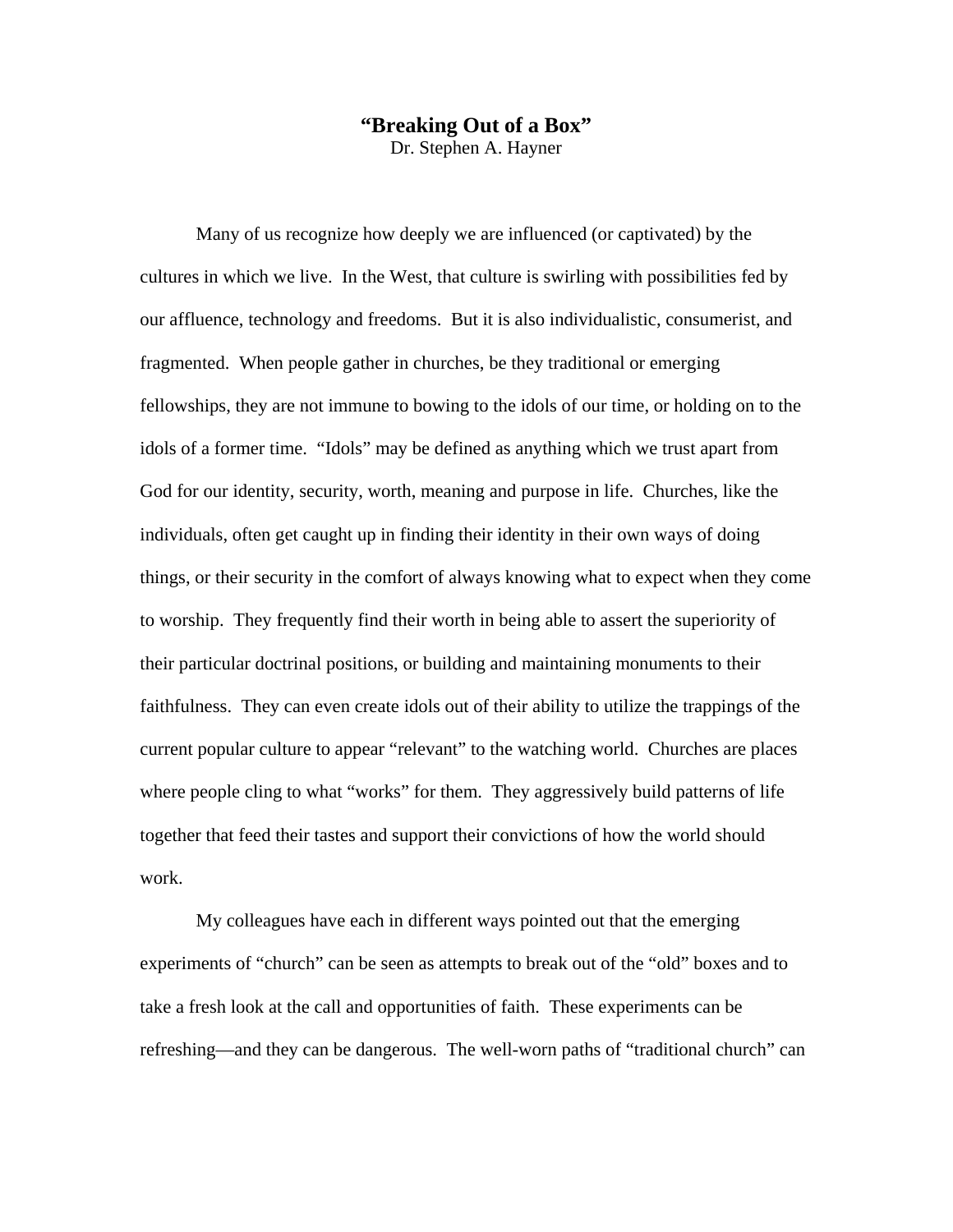## **"Breaking Out of a Box"**

Dr. Stephen A. Hayner

 Many of us recognize how deeply we are influenced (or captivated) by the cultures in which we live. In the West, that culture is swirling with possibilities fed by our affluence, technology and freedoms. But it is also individualistic, consumerist, and fragmented. When people gather in churches, be they traditional or emerging fellowships, they are not immune to bowing to the idols of our time, or holding on to the idols of a former time. "Idols" may be defined as anything which we trust apart from God for our identity, security, worth, meaning and purpose in life. Churches, like the individuals, often get caught up in finding their identity in their own ways of doing things, or their security in the comfort of always knowing what to expect when they come to worship. They frequently find their worth in being able to assert the superiority of their particular doctrinal positions, or building and maintaining monuments to their faithfulness. They can even create idols out of their ability to utilize the trappings of the current popular culture to appear "relevant" to the watching world. Churches are places where people cling to what "works" for them. They aggressively build patterns of life together that feed their tastes and support their convictions of how the world should work.

 My colleagues have each in different ways pointed out that the emerging experiments of "church" can be seen as attempts to break out of the "old" boxes and to take a fresh look at the call and opportunities of faith. These experiments can be refreshing—and they can be dangerous. The well-worn paths of "traditional church" can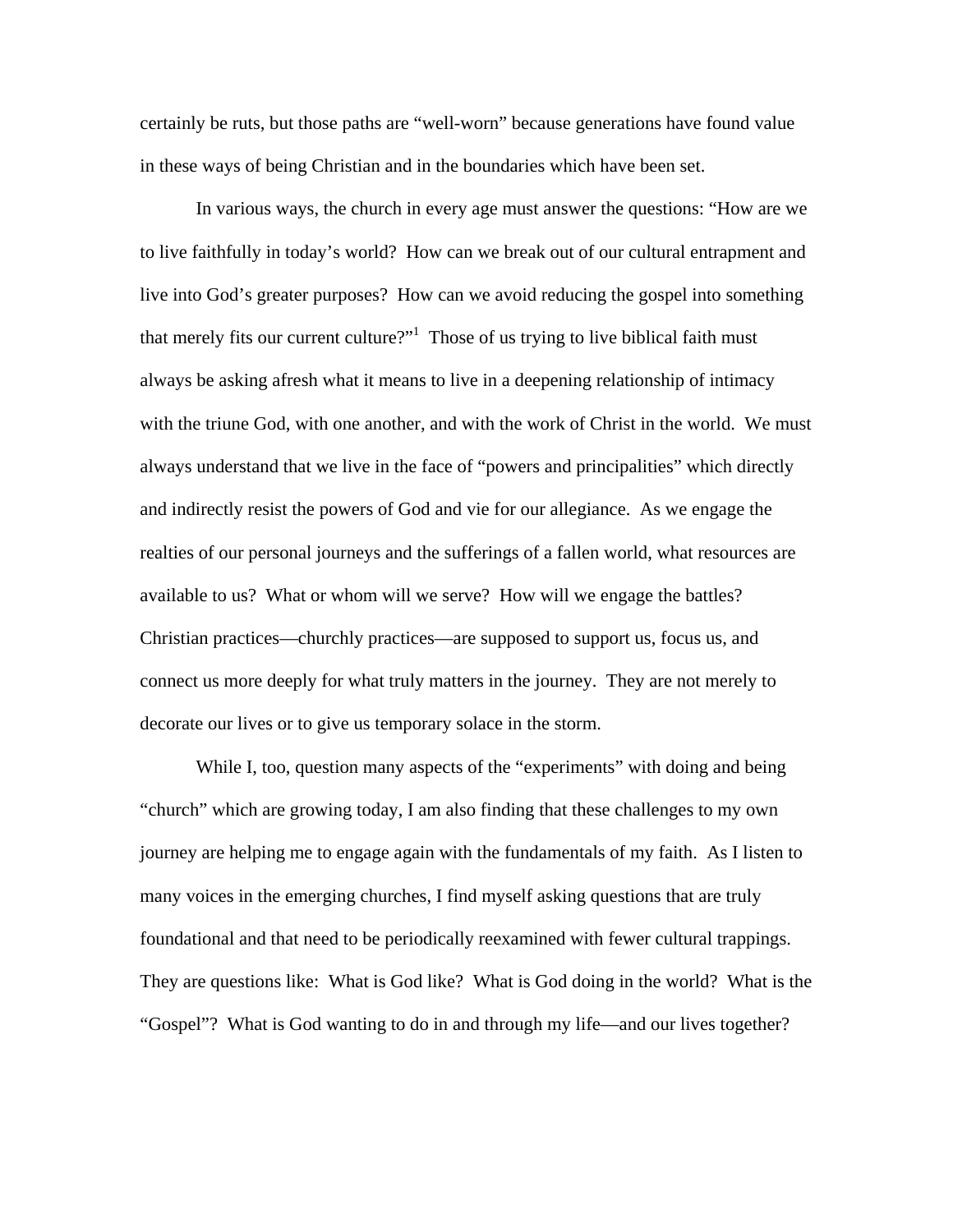certainly be ruts, but those paths are "well-worn" because generations have found value in these ways of being Christian and in the boundaries which have been set.

 In various ways, the church in every age must answer the questions: "How are we to live faithfully in today's world? How can we break out of our cultural entrapment and live into God's greater purposes? How can we avoid reducing the gospel into something that merely fits our current culture?"<sup>1</sup> Those of us trying to live biblical faith must always be asking afresh what it means to live in a deepening relationship of intimacy with the triune God, with one another, and with the work of Christ in the world. We must always understand that we live in the face of "powers and principalities" which directly and indirectly resist the powers of God and vie for our allegiance. As we engage the realties of our personal journeys and the sufferings of a fallen world, what resources are available to us? What or whom will we serve? How will we engage the battles? Christian practices—churchly practices—are supposed to support us, focus us, and connect us more deeply for what truly matters in the journey. They are not merely to decorate our lives or to give us temporary solace in the storm.

While I, too, question many aspects of the "experiments" with doing and being "church" which are growing today, I am also finding that these challenges to my own journey are helping me to engage again with the fundamentals of my faith. As I listen to many voices in the emerging churches, I find myself asking questions that are truly foundational and that need to be periodically reexamined with fewer cultural trappings. They are questions like: What is God like? What is God doing in the world? What is the "Gospel"? What is God wanting to do in and through my life—and our lives together?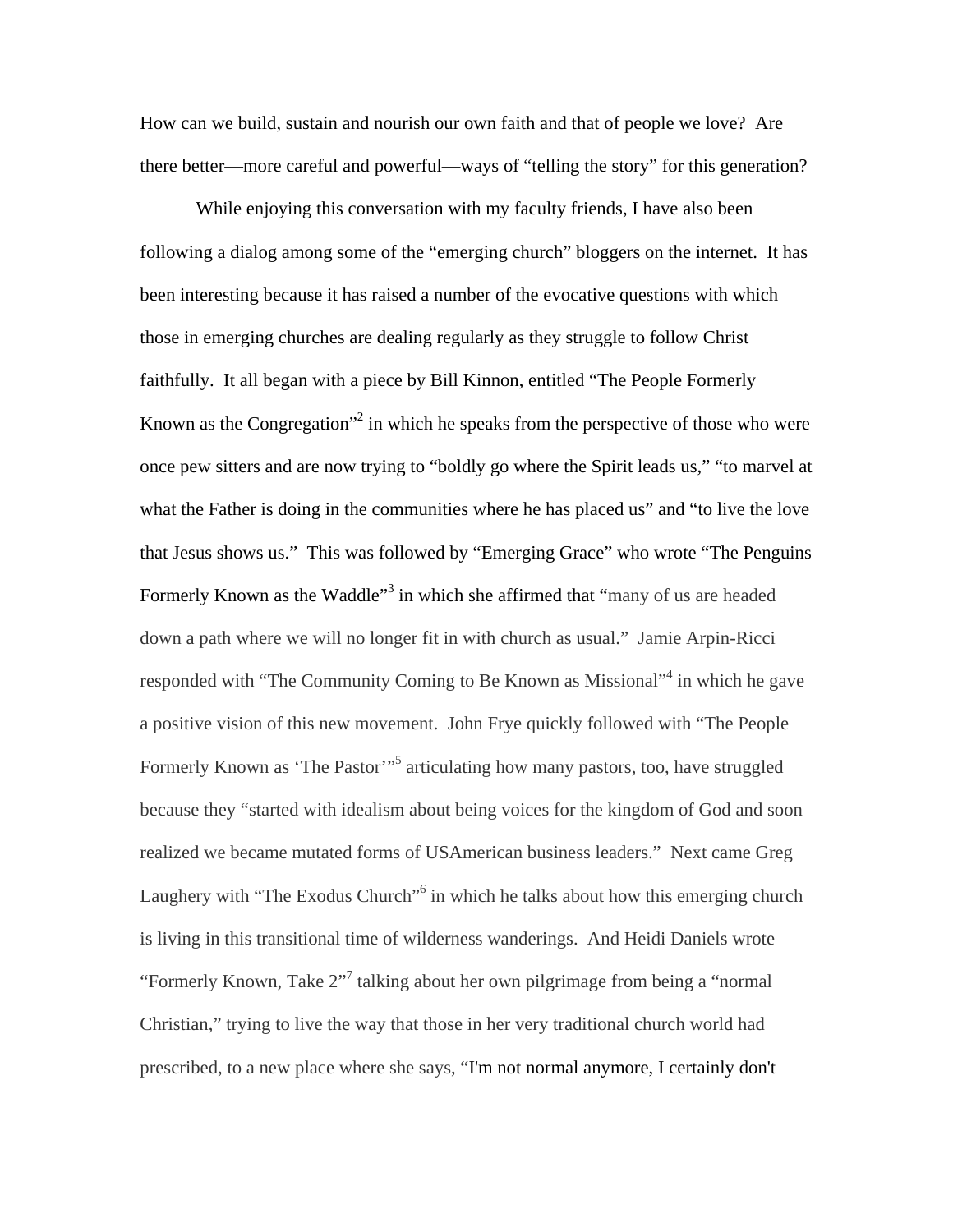How can we build, sustain and nourish our own faith and that of people we love? Are there better—more careful and powerful—ways of "telling the story" for this generation?

 While enjoying this conversation with my faculty friends, I have also been following a dialog among some of the "emerging church" bloggers on the internet. It has been interesting because it has raised a number of the evocative questions with which those in emerging churches are dealing regularly as they struggle to follow Christ faithfully. It all began with a piece by Bill Kinnon, entitled "The People Formerly Known as the Congregation<sup> $2$ </sup> in which he speaks from the perspective of those who were once pew sitters and are now trying to "boldly go where the Spirit leads us," "to marvel at what the Father is doing in the communities where he has placed us" and "to live the love that Jesus shows us." This was followed by "Emerging Grace" who wrote "The Penguins Formerly Known as the Waddle<sup>33</sup> in which she affirmed that "many of us are headed down a path where we will no longer fit in with church as usual." Jamie Arpin-Ricci responded with "The Community Coming to Be Known as Missional"<sup>4</sup> in which he gave a positive vision of this new movement. John Frye quickly followed with "The People Formerly Known as 'The Pastor'<sup>1,65</sup> articulating how many pastors, too, have struggled because they "started with idealism about being voices for the kingdom of God and soon realized we became mutated forms of USAmerican business leaders." Next came Greg Laughery with "The Exodus Church"<sup>6</sup> in which he talks about how this emerging church is living in this transitional time of wilderness wanderings. And Heidi Daniels wrote "Formerly Known, Take 2"<sup>7</sup> talking about her own pilgrimage from being a "normal" Christian," trying to live the way that those in her very traditional church world had prescribed, to a new place where she says, "I'm not normal anymore, I certainly don't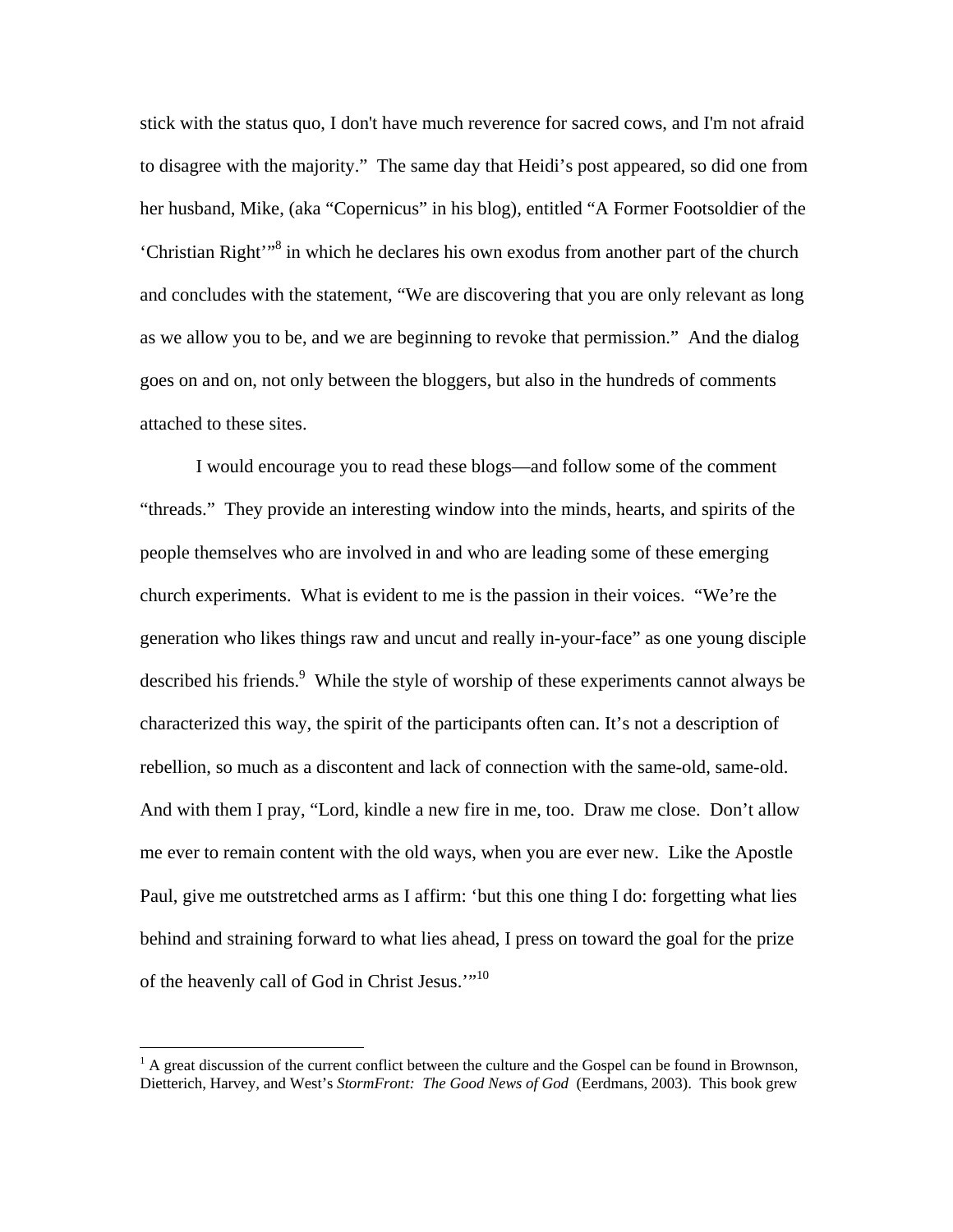stick with the status quo, I don't have much reverence for sacred cows, and I'm not afraid to disagree with the majority." The same day that Heidi's post appeared, so did one from her husband, Mike, (aka "Copernicus" in his blog), entitled "A Former Footsoldier of the 'Christian Right'"<sup>8</sup> in which he declares his own exodus from another part of the church and concludes with the statement, "We are discovering that you are only relevant as long as we allow you to be, and we are beginning to revoke that permission." And the dialog goes on and on, not only between the bloggers, but also in the hundreds of comments attached to these sites.

 I would encourage you to read these blogs—and follow some of the comment "threads." They provide an interesting window into the minds, hearts, and spirits of the people themselves who are involved in and who are leading some of these emerging church experiments. What is evident to me is the passion in their voices. "We're the generation who likes things raw and uncut and really in-your-face" as one young disciple described his friends.<sup>9</sup> While the style of worship of these experiments cannot always be characterized this way, the spirit of the participants often can. It's not a description of rebellion, so much as a discontent and lack of connection with the same-old, same-old. And with them I pray, "Lord, kindle a new fire in me, too. Draw me close. Don't allow me ever to remain content with the old ways, when you are ever new. Like the Apostle Paul, give me outstretched arms as I affirm: 'but this one thing I do: forgetting what lies behind and straining forward to what lies ahead, I press on toward the goal for the prize of the heavenly call of God in Christ Jesus."<sup>10</sup>

 $\overline{a}$ 

 $<sup>1</sup>$  A great discussion of the current conflict between the culture and the Gospel can be found in Brownson,</sup> Dietterich, Harvey, and West's *StormFront: The Good News of God* (Eerdmans, 2003). This book grew